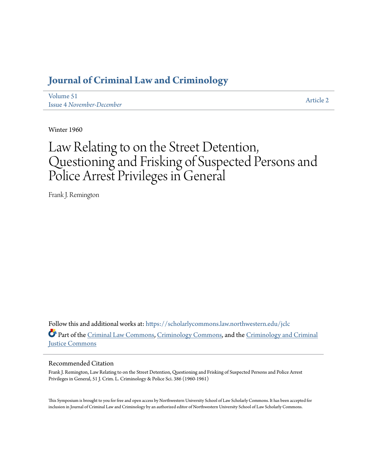# **[Journal of Criminal Law and Criminology](https://scholarlycommons.law.northwestern.edu/jclc?utm_source=scholarlycommons.law.northwestern.edu%2Fjclc%2Fvol51%2Fiss4%2F2&utm_medium=PDF&utm_campaign=PDFCoverPages)**

[Volume 51](https://scholarlycommons.law.northwestern.edu/jclc/vol51?utm_source=scholarlycommons.law.northwestern.edu%2Fjclc%2Fvol51%2Fiss4%2F2&utm_medium=PDF&utm_campaign=PDFCoverPages) Issue 4 *[November-December](https://scholarlycommons.law.northwestern.edu/jclc/vol51/iss4?utm_source=scholarlycommons.law.northwestern.edu%2Fjclc%2Fvol51%2Fiss4%2F2&utm_medium=PDF&utm_campaign=PDFCoverPages)*

[Article 2](https://scholarlycommons.law.northwestern.edu/jclc/vol51/iss4/2?utm_source=scholarlycommons.law.northwestern.edu%2Fjclc%2Fvol51%2Fiss4%2F2&utm_medium=PDF&utm_campaign=PDFCoverPages)

Winter 1960

# Law Relating to on the Street Detention, Questioning and Frisking of Suspected Persons and Police Arrest Privileges in General

Frank J. Remington

Follow this and additional works at: [https://scholarlycommons.law.northwestern.edu/jclc](https://scholarlycommons.law.northwestern.edu/jclc?utm_source=scholarlycommons.law.northwestern.edu%2Fjclc%2Fvol51%2Fiss4%2F2&utm_medium=PDF&utm_campaign=PDFCoverPages) Part of the [Criminal Law Commons](http://network.bepress.com/hgg/discipline/912?utm_source=scholarlycommons.law.northwestern.edu%2Fjclc%2Fvol51%2Fiss4%2F2&utm_medium=PDF&utm_campaign=PDFCoverPages), [Criminology Commons](http://network.bepress.com/hgg/discipline/417?utm_source=scholarlycommons.law.northwestern.edu%2Fjclc%2Fvol51%2Fiss4%2F2&utm_medium=PDF&utm_campaign=PDFCoverPages), and the [Criminology and Criminal](http://network.bepress.com/hgg/discipline/367?utm_source=scholarlycommons.law.northwestern.edu%2Fjclc%2Fvol51%2Fiss4%2F2&utm_medium=PDF&utm_campaign=PDFCoverPages) [Justice Commons](http://network.bepress.com/hgg/discipline/367?utm_source=scholarlycommons.law.northwestern.edu%2Fjclc%2Fvol51%2Fiss4%2F2&utm_medium=PDF&utm_campaign=PDFCoverPages)

# Recommended Citation

Frank J. Remington, Law Relating to on the Street Detention, Questioning and Frisking of Suspected Persons and Police Arrest Privileges in General, 51 J. Crim. L. Criminology & Police Sci. 386 (1960-1961)

This Symposium is brought to you for free and open access by Northwestern University School of Law Scholarly Commons. It has been accepted for inclusion in Journal of Criminal Law and Criminology by an authorized editor of Northwestern University School of Law Scholarly Commons.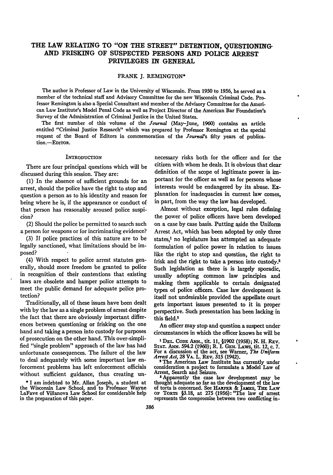# **THE LAW RELATING TO "ON THE STREET" DETENTION, QUESTIONING-AND** FRISKING OF **SUSPECTED PERSONS AND POLICE ARREST PRIVILEGES IN GENERAL**

#### FRANK **J.** REMINGTON\*

The author is Professor of Law in the University of Wisconsin. From 1950 to **1956,** he served as a member of the technical staff and Advisory Committee for the new Wisconsin Criminal Code. Professor Remington is also a Special Consultant and member of the Advisory Committee for the American Law Institute's Model Penal Code as well as Project Director of the American Bar Foundation's Survey of the Administration of Criminal Justice in the United States.

The first number of this volume of the *Journal* (May-June, **1960)** contains an article entitled "Criminal Justice Research" which was prepared by Professor Remington at the special request of the Board of Editors in commemoration of the *Journal's* fifty years of publication.-EDITOR.

#### **INTRODUCTION**

There are four principal questions which will be discussed during this session. They are:

**(1)** In the absence of sufficient grounds for an arrest, should the police have the right to stop and question a person as to his identity and reason for being where he is, if the appearance or conduct of that person has reasonably aroused police suspicion?

(2) Should the police be permitted to search such a person for weapons or for incriminating evidence?

**(3)** If police practices of this nature are to **be** legally sanctioned, what limitations should be imposed?

(4) With respect to police arrest statutes generally, should more freedom be granted to police in recognition of their contentions that existing laws are obsolete and hamper police attempts to meet the public demand for adequate police protection?

Traditionally, all of these issues have been dealt with **by** the law as a single problem of arrest despite the fact that there are obviously important differences between questioning or frisking on the one hand and taking a person into custody for purposes of prosecution on the other hand. This over-simplified "single problem" approach of the law has had unfortunate consequences. The failure of the law to deal adequately with some important law enforcement problems has left enforcement officials without sufficient guidance, thus creating un-

\* I am indebted to Mr. Allan Joseph, a student at the Wisconsin Law School, and to Professor Wayne LaFave of Villanova **Law** School for considerable help in the preparation of this paper. necessarv risks both for the officer and for the citizen with whom he deals. It is obvious that dear definition of the scope of legitimate power is important for the officer as well as for persons whose interests would be endangered **by** its abuse. Explanation for inadequacies in current law comes, in part, from the way the law has developed.

Almost without exception, legal rules defining the power of police officers have been developed on a case by case basis. Putting aside the Uniform Arrest Act, which has been adopted by only three states,<sup>1</sup> no legislature has attempted an adequate formulation of police power in relation to issues like the right to stop and question, the right to frisk and the right to take a person into custody. Such legislation as there is is largely sporadic, usually adopting common law principles and making them applicable to certain designated types of police officers. Case law development is. itself not undesirable provided the appellate court gets important issues presented to it in proper perspective. Such presentation has been lacking in this field.3

An officer may stop and question a suspect under

circumstances in which the officer knows he will be **1DEL. CODE ANN.,** tit. **11, §1902 (1958);** *N.* H. Rxv. **STAT.** Aim. 594.2 **(1960);** R. I. **GEN. LAWS, tit.** 12, c. **7.** For a discussion of the act, see Warner, *The Uniform Arrest Act,* **28** VA. L. **REV. 315** (1942).

2 The American Law Institute has currently under consideration a project to formulate a Model Law of **Arrest, Search and Seizure.**

4 Apparently the case law development may be thought adequate so far as the development of the law of torts is concerned. See **HEAxER** & **JAms,** THE LAw OF ToRas **§3.18,** at **275 (1956):** 'The law of arrest represents the compromise between two conflicting in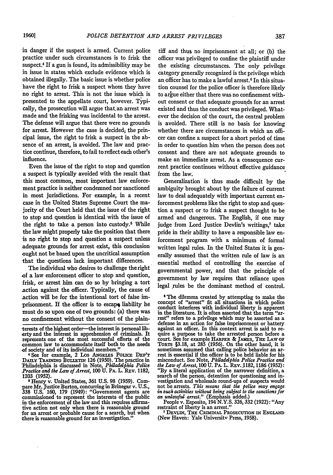in danger **if** the suspect is armed. Current police practice under such circumstances is to frisk the suspect.4 If a gun is found, its admissibility may be in issue in states which exclude evidence which is obtained illegally. The basic issue is whether police have the right to frisk a suspect whom they have no right to arrest. This is not the issue which is presented to the appellate court, however. Typically, the prosecution will argue that, an arrest was made and the frisking was incidental to the arrest. The defense will argue that there were no grounds for arrest. However the case is decided; the principal issue, the right to frisk a suspect in the absence of an arrest, is avoided. The law and practice continue, therefore, to fail to reflect each other's influence.

Even the issue of the right to stop and question a suspect is typically avoided with the result that this most common, most important law enforcement practice is neither condemned nor sanctioned in most jurisdictions. For example, in a recent case in the United States Supreme Court the majority of the Court held that the issue of the right to stop and question is identical with the issue of the right to take a person into custody.<sup>5</sup> While the law might properly take the position that there is no right to stop and question a suspect unless adequate grounds for arrest exist, this conclusion ought not be based upon the uncritical assumption that the questions lack important differences.

The individual who desires to challenge the right of a law enforcement officer to stop and question, frisk, or arrest him can do so by bringing a tort action against the officer. Typically, the cause of action will be for the intentional tort of false imprisonment. If the officer is to escapq liability he must do so upon one of two grounds: (a) there was no confinement without the consent of the plain-

-terests of the highest order-the interest in personal lib- .erty and the interest in apprehension of criminals. It represents one of the most successful efforts of the common law to accommodate itself both to the needs of society and of its individual members."

4 See for example, 2 Los **ANGELES PoLIcE DEP'T** *DAILY* **MArNrNG BUL=TIN 126 (1950).** The practice in 'Philadelphia is discussed in Note, *Philaddphia Police Practice and the Law of Arrest,* **100 U.** PA. L. REv. **1182, 1203** (1952).

**'** Henry v. United States, 361 U.S. 98 (1959). Com- -pare Mr. Justice Burton, concurring in Brinegar v. U.S., 338 U.S. 160, 179 (1949): "Government agents are commissioned to represent the interests of the public in the enforcement of the law and this requires affirmain the enforcement of the law and this requires affirmative action not only when there is reasonable ground for an arrest or probable cause for a search, but when there is reasonable ground for an investigation."

tiff and thus no imprisonment at all; or (b) the officer was privileged to confine the plaintiff under the existing circumstances. The only privilege category generally recognized is the privilege which an officer has to make a lawful arrest.<sup>6</sup> In this situation counsel for the police officer is therefore likely to argue either that there was no confinement without consent or that adequate grounds for an arrest existed and thus the conduct was privileged. Whatever the decision of the court, the central problem is avoided. There still is no basis for knowing whether there are circumstances in which an officer can confine a suspect for a short period of time in order to question him when the person does not consent and there are not adequate grounds to make an immediate arrest. As a consequence current practice continues without' effective guidance from the law.

Generalization is thus made difficult by the ambiguity brought about by the failure of current law to deal adequately with important current enforcement problems like the right to stop and question a suspect or to frisk a suspect thought to be armed and dangerous. The English, if one may judge from Lord Justice Devlin's writings,7 take pride in their ability to have a responsible law enforcement program with a minimum of formal written legal rules. In the United States it is generally assumed that the written rule of law is an essential method of controlling the exercise of governmental power, and that the principle of government by law requires that reliance upon legal rules be the dominant method of control.

**s** The dilemma created by attempting to make the concept of "arrest" fit all situations in which police conduct interferes with individual liberty is apparent in the literature. It is often asserted that the term "arrest" refers to a privilege which may be asserted as a rest" refers to a privilege which may be asserted as a defense in an action for false imprisonment or battery against an officer. In this context arrest is said to require a purpose to take the arrested person before a cou ToRTs §3.18, at **285 (1956).** On the other hand, it is sometimes assumed that calling police behavior an arrest is essential if the officer is to be held liable for his misconduct. See Note, *Philadelphia Police Practice and the Law of Arrest, 100* **U.** PA. L. **REv..1182, 1186 (1952):** search of the person, detention for questioning and investigation and wholesale round-ups of suspects would not be arrests. This means that the police may engage in such activities without being subject to the sanctions for<br>an unlawful arrest." (Emphasis added.)<br>People v. Esposito, 194 N.Y.S. 326, 332 (1922): "Any<br>restraint of liberty is an arrest."

**7** DEvLIN, **THE CRIMINAL PROSECUTION IN ENGLAND** (New Haven: Yale University Press, 1958).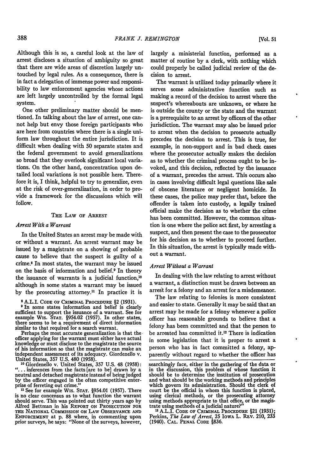Although this is so, a careful look at the law of arrest discloses a situation of ambiguity so great that there are wide areas of discretion largely untouched **by** legal rules. As a consequence, there is in fact a delegation of immense power and responsibility to law enforcement agencies whose actions are left largely uncontrolled **by** the formal legal system.

One other preliminary matter should be mentioned. In talking about the law of arrest, one cannot help but envy those foreign participants who are here from countries where there is a single uniform law throughout the entire jurisdiction. It is difficult when dealing with **50** separate states and the federal government to avoid generalizations so broad that they overlook significant local variations. On the other hand, concentration upon detailed local variations is not possible here. Therefore it is, I think, helpful to try to generalize, even at the risk of over-generalization, in order to provide a framework for the discussions which will **follow.**

#### THE LAW OF ARREST

#### *Arrest With a Warrant*

In the United States an arrest may be made with or without a warrant. An arrest warrant may be issued **by** a magistrate on a showing of probable cause to believe that the suspect is guilty of a crime.8 In most states, the warrant may be issued on the basis of information and belief.9 In theory the issuance of warrants is a judicial function,"0 although in some states a warrant may be issued **by** the prosecuting attorney." In practice it is

**8** A.L.I. **CODE OF CRIMINAL PROCEDURE** §2 (1931). sufficient to support the issuance of a warrant. See for example Wis. **STAT.** §954.02 **(1957).** In other states, there seems to be a requirement of direct information similar to that required for a search warrant.

Perhaps the most accurate generalization is that the, officer applying for the warrant must either have actual knowledge or must disclose to the magistrate the source of his information so that the magistrate can make an independent assessment of its adequacy. Giordenello v. United States, 357 **U.S.** 480 **(1958).**

**10** Giordenello v. United States, **357** U.S. 48 **(1958): ...** inferences from the facts tare to be] drawn **by** <sup>a</sup> neutral and detached magistrate instead of being judged **by** the officer engaged in the often competitive enterprise of ferreting out crime."

<sup>11</sup> See for example Wis. STAT. §954.01 (1957). There is no clear concensus as to what function the warrant should serve. This was pointed out thirty years ago **by** Alfred **Bettman** in his REPORT **ON PROSECUTION FOR THE** NATIONAL COMMISSION **ON LAW OBSERVANCE AND** ENFORCEMENT at p. 88 where, in commenting upon prior surveys, he says: "None of the surveys, however, largely a ministerial function, performed as a matter of routine **by** a clerk, with nothing which could properly be called judicial review of the decision to arrest.

The warrant is utilized today primarily where it serves some administrative function such as making a record of the decision to arrest where the suspect's whereabouts are unknown, or where he is outside the county or the state and the warrant is a prerequisite to an arrest by officers of the other jurisdiction. The warrant may also be issued prior to arrest when the decision to prosecute actually precedes the decision to arrest. This is true, for example, in non-support and in bad check cases where the prosecutor actually makes the decision as to whether the criminal process ought to be invoked, and this decision, reflected by the issuance of a warrant, precedes the arrest. This occurs also in cases involving difficult legal questions like sale of obscene literature or negligent homicide. In these cases, the police may prefer that, before the offender is taken into custody, a legally trained official make the decision as to whether the crime has been committed. However, the common situation is one where the police act first, by arresting a suspect, and then present the case to the prosecutor for his decision as to whether to proceed further. In this situation, the arrest is typically made without a warrant.

#### *Arrest Without a Warrant*

In dealing with the law relating to arrest without a warrant, a distinction must be drawn between an arrest for a felony and an arrest for a misdemeanor.

The law relating to felonies is more consistent and easier to state. Generally it may be said that an arrest may be made for a felony whenever a police officer has reasonable grounds to believe that a felony has been committed and that the person to be arrested has committed it.12 There is indication in some legislation that it is proper to arrest a person who has in fact committed a felony, apparently without regard to whether the officer has

<sup>1</sup>**A.L.I. CODE OF CRIMINAL PROCEDURE §21 (1931);** Perkins, *The Law of Arrest,* **25** IowA L. REv. 210, **233** (1940). **CAL. PENAL CODE §836.**

searchingly face, either in the gathering of the data or in the discussion, this problem of whose function it should be to determine the institution of prosecution and what should be the working methods and principles which govern its administration. Should the clerk **of** court be the official in whom this function is placed, using clerical methods, or the prosecuting attorney using methods appropriate to that office, or the magistrate using methods **of** a judicial nature?"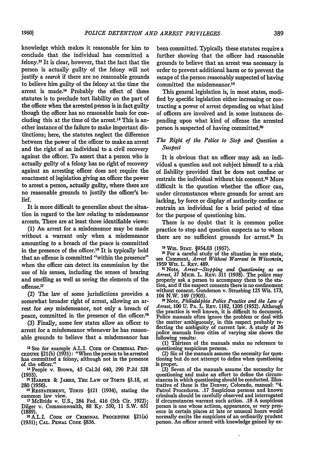knowledge which makes it reasonable for him to conclude that the individual has committed a felony.13 It is clear, however, that the fact that the person is actually guilty of the felony will not justify a *search* if there are no reasonable grounds to believe him guilty of the felony at the time the arrest is made.14 Probably the effect of these statutes is to preclude tort liability on the part of the officer when the arrested person is in fact guilty though the officer has no reasonable basis for concluding this at the time of the arrest.<sup>15</sup> This is another instance of the failure to make important distinctions; here, the statutes neglect the difference between the power of the officer to make an arrest and the right of an individual to a civil recovery against the officer. To assert that a person who is actually guilty of a felony has no right of recovery against an arresting officer does not require the enactment of legislation giving an officer the power to arrest a person, actually guilty, where there are no reasonable grounds to justify the officer's belief.

It is more difficult to generalize about the situation in regard to the law relating to misdemeanor arrests. There are at least three identifiable views:

(1) An arrest for a misdemeanor may be made without a warrant only when a misdemeanor amounting to a breach of the peace is committed in the presence of the officer.<sup>16</sup> It is typically held that an offense is committed "within the presence" when the officer can detect its commission by the use of his senses, including the senses of hearing and smelling as well as seeing the elements of the offense.<sup>17</sup>

(2) The law of some jurisdictions provides a somewhat broader right of arrest, allowing an arrest for *any* misdemeanor, not only a breach of peace, committed in the presence of the officer.<sup>18</sup>

(3) Finally, some few states allow an officer to arrest for a misdemeanor whenever he has reasonable grounds to believe that a misdemeanor has

<sup>13</sup> See for example A.L.I. CODE OF CRIMINAL PRO-**CEDURE** §21(b) (1931): "When the person to be arrested of the officer." 14 People v. Brown, 45 Cal.2d 640, 290 P.2d 528

"7McBride v. U.S., 284 Fed. 416 (5th Cir. 1922); Dilger v. Commonwealth, **88 Ky.** 550, **11** S.W. **<sup>651</sup> (1889).**

**18A.L.I. CODE OF CRIMINAL** PROCEDURE §21(a) **(1931);** CAL. **PENAL CODE §836.**

been committed. Typicall) these statutes require a further showing that the officer had reasonable grounds to believe that an arrest was necessary in order to prevent additional harm or to prevent the escape of the person reasonably suspected of having committed the misdemeanor.<sup>19</sup>

This general legislation is, in most states, modified by specific legislation either increasing or contracting a power of arrest depending on what kind of officers are involved and in some instances depending upon what kind of offense the arrested person is suspected of having committed.<sup>20</sup>

# *The Right of the Police to Stop and Question a Suspect*

It is obvious that an officer may ask an individual a question and not subject himself to a risk of liability provided that he does not confine or restrain the individual without his consent.<sup>21</sup> More difficult is the question whether the officer can, under circumstances where grounds for arrest are lacking, by force or display of authority confine or restrain an individual for a brief period of time for the purpose of questioning him.

There is no doubt that it is common police practice to stop and question suspects as to whom there are no sufficient grounds for arrest. $2^2$  In

20 For a careful study of the situation in one state, see Comment, *Arrest Without Warrant in Wisconsin,* 1959 Wis. L. REv. 489.

<sup>21</sup> Note, *Arrest*-Stopping and Questioning as an *Arrest*, 37 MicH. L. REv. 311 (1938). The police may properly ask a person to accompany them to the station, and **if** the suspect consents there is no confinement without consent. Gunderson v. Struebing 125 Wis. 173, 104 **N.W.** 149 **(1905).**

" Note, *Philadelphia Police Practice and the Law of Arrest,* **100** U. **PA.** L. REy. 1182, 1205 **(1952).** Although the practice is well known, it is difficult to document. Police manuals often ignore the problem or deal with the matter ambiguously, in this respect probably re- flecting the ambiguity of current law. A study of **<sup>26</sup>** police manuals from cities of varying size shows the following results:

**(1)** Thirteen of the manuals make no reference to

questioning suspicious persons.<br>(2) Six of the manuals assume the necessity for ques-<br>tioning but do not attempt to define when questioning is proper.

**(3)** Seven of the manuals assume the necessity for questioning and make an effort to define the circumstances in which questioning should be conducted. Illustrative of these is the Denver, Colorado, manual: "4. Patrol Procedures. **.17** Suspicious persons and known criminals should be carefully observed and interrogated if circumstances warrant such action. .18 A suspicious person is one whose actions, appearance, or very pres- ence in certain places at late or unusual hours would normally excite the suspicions of an ordinarily prudent person. An officer armed with knowledge gained by ex-

**<sup>(1955).</sup>**

<sup>&</sup>lt;sup>15</sup> HARPER & JAMES, THE LAW OF TORTS §3.18, at 280 (1956).

<sup>&</sup>lt;sup>16</sup> RESTATEMENT, TORTS §121 (1934), stating the common law view.<br><sup>17</sup> McBride v. U.S., 284 Fed. 416 (5th Cir. 1922);

**<sup>19</sup>** Wis. **STAT.** §954.03 **(1957).**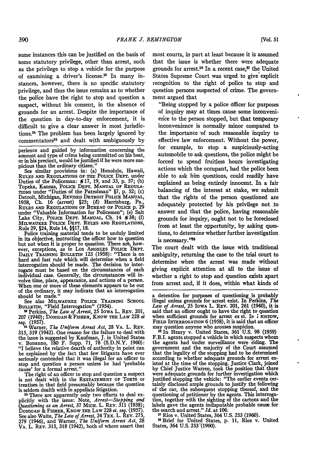some instances this can be justified on the basis of some statutory privilege, other than arrest, such as the privilege to stop a vehicle for the purpose of examining a driver's license. $2a$  In many instances, however, there is no specific statutory privilege, and thus the issue remains as to whether the police have the right to stop and question a suspect, without his consent, in the absence of grounds for an arrest. Despite the importance of the question in day-to-day enforcement, it is difficult to give a dear answer in most jurisdictions.24 The problem has been largely ignored by commentators<sup>25</sup> and dealt with ambiguously by

perience and guided by information concerning the amount and type of crime being committed on his beat, or in his precinct, would be justified if he were more sus- picious than the ordinary citizen."

See similar provisions in: (a) Honolulu, Hawaii, RULES **AND REGULATIONS** OF **THE** POICE DEPr. under Duties of the Policeman: **S 17, 19,** and **33, p. 57; (b)** Topeka, Kansas, PoLcE **DEPT.** MANUAL **OF REGULA-TiONS** under "Duties of the Patrolman" **§7, p. 52;** (c) Detroit, Michigan, REvismn DETROIT POLICE **MANUAL, 1958, Ch. 16** (arrest) §25; **(d)** Harrisburg, Pa., **RULES AND** REGULATIONS OF **BUREAU OF POLICE p. 29** under "Valuable Information for Policemen"; (e) Salt Lake City, PoLCE DEPTr. MANUAL, **Ch.** 14 **#38; (f)** MILWAUKEE POLICE DEPr. RULES **AND** REGULATIONS, Rule **29,** §24, Rule 14, **§§17, 18.** Police training material tends to be unduly **limited**

in its objective, instructing the officer how to question but not when it is proper to question. There **ar&,** however, exceptions, as in Los ANGELES PouzcE **DEPT. DAILY** TRAINING BUL.ETN **123 (1958):** "There is no hard and fast rule which will determine when a field interrogation should be made. The decision to interrogate must **be** based on the circumstances of each individual case. Generally, the circumstances will involve time, place, appeararce, and actions of a person. When one or more of these elements appears to be out of the ordinary, it may indicate that an interrogation should be made."

See also MILWAUKEE POLICE TRAINING SCHOOL<br>BULLETIN, "Field Interrogation" (1954). BUL.ETIN, "Field Interrogation" (1954). **<sup>n</sup>**Perkins, *The* Law *of Arrest,* 25 IowA L. REv. 201,

**207** (1940); DONIGAN & FISHER, KNOW **TH** LAW **228 et**

*seq.* (1957). 2 Warner, *The Uniform Arrest Act,* **28** VA. L. REv. 315, **319** (1942). One reason for the failure to deal with the issue is suggested **by** Kaufman, **J.** in United States v' Bonanno, **180** F. Supp. **71, 78 (S.D.N.Y. 1960):** "I believe the relative dearth of authority in point can be explained **by** the fact that few litigants have ever seriously contended that it was illegal for an officer to stop and question a person unless he had 'probable cause' for a formal arrest."

The right of an officer to stop and question a suspect is not dealt with in the RESTATEmENT Or TORTS or treatises in that field presumably because the question

is seldom dealth with in appellate litigation.<br><sup>25</sup>There are apparently only two efforts to deal ex-*Questioning as an Arrest,* **37** MIcH. L. REv. **311 (1938);** DONIGAN & FISHER, KNOW THE LAW 228 et. seq. (1957). See also Waite, *The Law of Arrest,* 24 TEx. L. Rv. 275, 279 (1946), and Warner, *The Uniform Arrest Act,* 28 VA. L. REv. 315, 318 (1942), both of whom assert that

most courts, in part at least because it is assumed that the issue is whether there were adequate grounds for arrest.<sup>26</sup> In a recent case,<sup>27</sup> the United States Supreme Court was urged to give explicit recognition to the right of police to stop and question persons suspected of crime. The government argued that

"Being stopped by a police 6fficer for purposes of inquiry may at times cause some inconvenierice to the person stopped, but that temporary inconvenience is normally minor compared to the importance of such reasonable inquiry to effective law enforcement. Without the power, for example, to stop a suspiciously-acting automobile to ask questions, the police might be forced to spend fruitless hours investigating actions which the occupant, had the police been able to ask him questions, could readily have explained as being entirely innocent. In a fair balancing of the interest at stake, we submit that the rights of the person questioned are adequately protected by his privilege not .to answer and that the police, having reasonable grounds for inquiry, ought not to be foreclosed from at least the opportunity, **by** asking questions, to determine whether further investigation is necessary."28

The court dealt with the issue with traditional ambiguity, returning the case to the trial court to determine when the arrest was made without giving explicit attention at all to the issue of whether a right to stop and question exists apart from arrest and, if it does, within what kinds of

<sup>27</sup> Rios v. United States, 364 U.S. 253 (1960).<br><sup>28</sup> Brief for United States, p. 11, Rios v. United States, 364 **U.S. 253 '(1960).**

a detention for purposes of questioning is probably illegal unless grounds for arrest exist. In Perkins, *The Law of Arrest,* **25** IowA L. REv. 201, **261** (1940), it is said that an officer ought to have the right to question when sufficient grounds for arrest ex st. In *I* RISTOW,<br>FIELD INTERROGATION 6 (1958), it is said that an officer may question anyone who arouses suspicion. **"In** Henry v. United States, **361 U.S. 98** (1959)

F.B.I. agents stopped a vehicle in which suspects whom the agents had under surveillance were riding. **The** government and the majority of the Court assumed that the legality of the stopping had to be determined according to whether adequate grounds for arrest ex- isted at the time of the stopping. Justice Clark, joined **by** Chief Justice Warren, took the position that there were adequate grounds for further investigation which justified stopping the vehicle: "The earlier events cer- tainly disclosed ample grounds to justify the following of the car, the subsequent stopping thereof, and the questioning of petitioner by the agents. This interroga-tion, together with the sighting of the cartons and the labels gave the agents indisputable probable cause for the search and arrest." *Id.* at 106.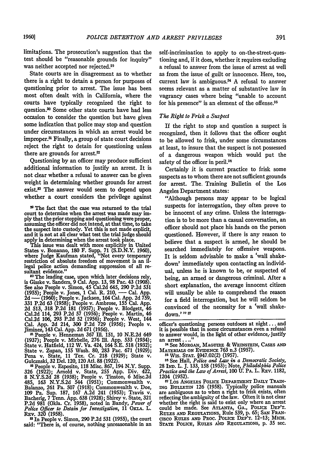limitations. The prosecution's suggestion that the test should be "reasonable grounds for inquiry" was neither accepted nor rejected.<sup>29</sup>

State courts are in disagreement as to whether there is a right to detain a person for purposes of questioning prior to arrest. The issue has been most often dealt with in California, where the courts have typically recognized the right to question.30 Some other state courts have had less occasion to consider the question but have given some indication that police may stop and question under circumstances in which an arrest would be improper.<sup>31</sup> Finally, a group of state court decisions reject the right to detain for questioning unless there are grounds for arrest. $32$ 

Questioning by an officer may produce sufficient additional information to justify an arrest. It is not dear whether a refusal to answer can be given weight in determining whether grounds for arrest exist.<sup>33</sup> The answer would seem to depend upon whether a court considers the privilege against

**"** The fact that the case was returned to the trial court to determine when the arrest was made may im**ply** that the prior stopping and questioning were proper, assuming the officer did not intend, at that time, to take the suspect into custody. Yet this is not made **explicit,** and it is not at all clear what test the trial judge **should**

apply in determining when the arrest took place. This issue was dealt with more explicitly in United States v. Bonanno, **180** F. Supp. **71 (S.D.N.Y. 1960),** where Judge Kaufman stated, "Not every temporary restriction of absolute freedom of movement is an illegal police action demanding suppression of all re-sultant evidence."

**'3** The leading case, upon which later decisions rely, is Gisske v. Sanders, 9 Cal. **App. 13, 98** Pac. 43 **(1908).** See also People v. Simon, 45 Cal.2d 645, **290 P.2d 531** (1955); People v. Jones, 1 Cal. R. 210, **---** Cal. App. **2d - (1960);** People v. Jackson, 164 Cal. **App. 2d** 759, **331 P.2d** 63 **(1958);** People v. Ambrose, **155** Cal. **App. 2d 513, 318 P.2d 181 (1957);** People v. Blodgett, 46 Cal.2d 114, **293 P.2d** 57 **(1956);** People v. Martin, 46 Cal.2d **106,** 293 **P.2d** 52 **(1956);** People v. West, 144 Cal. **App. 2d** 214, **300 P.2d 729 (1956);** People v. Jiminez, 143 Cal. **App. 2d 671 (1956).** 31People v. Henneman 367 **Ill** 151, **10 N.E.2d** <sup>649</sup>

(1937); People v. Mirbelle, 276 Ill. Ápp. 533 (1934);<br>State v. Hatfield, 112 W. Va. 424, 164 S.E. 518 (1932);<br>State v. Zupan, 155 Wash. 80, 283 Pac. 671 (1929);<br>Pena v. State, 11 Tex. Cr. 218 (1929); State v.<br>Gulcznski, 32

2 People v. Esposito, **118** Misc. **867,** 194 N.Y. Supp. <sup>326</sup>**(1922);** Arnold v. State, 255 **App.** Div. 422, 8 **N.Y.S.2d 28 (1938);** People v. Tinston, 6 Misc.2d **485, 163 N.Y.S.2d** 544 **(1951);** Commonwealth v. Balanzo, 261 Pa. **507 (1918);** Commonwealth v. Doe, 109 Pa. Sup. 187, 167 A.2d 241 (1953); Travis v. Bacherig, 7 Tenn. App. 638 (1928); Shirey v. State, 321 P.2d 981 (Okla. Cr. 1958), noted in Bandy, Power of Police Officer to Detain for Investigation, 11 OKLA. L.

Rxv. **320** (1958). **<sup>3</sup>**In People v. Simon, **290** P.2d 531 (1955), the court said: "There is, of course, nothing unreasonable in an

self-incrimination to apply to on-the-street-questioning and, if it does, whether it requires excluding a refusal to answer from the issue of arrest ag well as from the issue of guilt or innocence. Here, too, current law is ambiguous. $34$  A refusal to answer seems relevant as a matter of substantive law in vagrancy cases where being "unable to account for his presence" is an element of the offense.<sup>35</sup>

### *The Right to Frisk a Suspect*

If the right to stop and question a suspect is recognized, then it follows that the officer ought to be allowed to frisk, under some circumstances at least, to insure that the suspect is not possessed of a dangerous weapon which would put the safety of the officer in peril.<sup>36</sup>

Certainly it is current practice to frisk some suspects as to whom there are not sufficient grounds for arrest. The. Training Bulletin of the Los Angeles Department states:

"Although persons may appear to be logical suspects for interrogation, they often prove to be innocent of any crime. Unless the interrogation is to be more than a casual conversation, an officer should not place his hands on the person questioned. However, if there is any reason to believe that a suspect is armed, he should be searched immediately for offensive weapons. It is seldom advisable to make a 'wall shakedown' immediately upon contacting an individual, unless he is known to be, or suspected of being, an armed or dangerous criminal. After a short explanation, the average innocent citizen will usually be able to comprehend the reason for a field interrogation, but he will seldom be convinced of the necessity for a 'wall shakedown.' **"37**

**3** WiNS. **STAT.** §947.02(2) (1957).

**<sup>38</sup>**See Hall, *Police and Law in a Democratic Society,* **<sup>28</sup>IND.** L. **J. 133,** 158 (1953); Xote, *Philadelphia Police Practice and the Law of Arrest,* **100** *TY* PA. L. Rxv. 1182, 1204 **(1952).**

**37** Los **ANGELES** POLICE **DEPATENT DAILY TRAIN-ING BULLETix** 126 **(1958).** Typically police manuals **are** ambiguous as to when a right to frisk exists, often **reflecting the** ambiguity of the law. Often it is not clear whether the right is said to exist only where an arrest<br>could be made. See ATLANTA, GA., POLICE DEP'T.<br>RULES AND REGULATIONS, Rule 539, p. 65; SAN FRAN-<br>CISCO RULES AND PROC. POLICE DEP'T. 12-13; MICH. **STATE POLICE, RULES AiND REGULATIONS, p.** 35 sec.

officer's questioning persons outdoors at night... and it is possible that in some circumstances even a refusal to answer would, in the light of other evidence, justify

an arrest...."<br><sup>34</sup> See MORGAN, MAGUIRE & WEINSTEIN, CASES AND MATERIALS **ON EvDENcE** 763 n.3 (1957).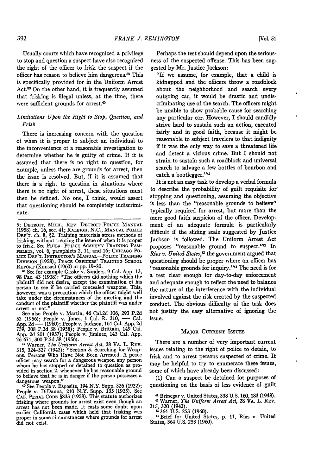Usually courts which have recognized a privilege to stop and question a suspect have also recognized the right of the officer to frisk the suspect if the officer has reason to believe him dangerous.<sup>38</sup> This is specifically provided for in the Uniform Arrest Act.39 On the other hand, it is frequently assumed that frisking is illegal unless, at the time, there were sufficient grounds for arrest.<sup>40</sup>

## *Limitations Upon the Right to Stop, Question, and Frisk*

There is increasing concern with the question of when it is proper to subject an individual to the inconvenience of a reasonable investigation to determine whether he is guilty of crime. If it is assumed that there is no right to question, for example, unless there are grounds for arrest, then the issue is resolved. But, if it is assumed that there is a right to question in situations where there is no right of arrest, these situations must then be defined. No one, I think, would assert that questioning should be completely indiscriminate.

**3** See for example Gisske v. Sanders, 9 Cal. App. **13,** 98 Pac. 43 (1908): "The officers did nothing which the plaintiff did not desire, except the examination of his person to see if he carried concealed weapons. This, however, was a precaution which the officer might well take under the circumstances of the meeting and the conduct of the plaintiff whether the plaintiff was under arrest or not."

See also People v. Martin, 46 Cal.2d 106, **293 P.2d** 52 (1956); People v. Jones, 1 Cal. R. 210, — Cal.<br>App. 2d — (1960); People v. Jackson, 164 Cal. App. 2d<br>759, 308 P.2d 38 (1958); People v. Brittain, 149 Cal.<br>App. 2d 201 (1957); People v. Jiminez, 143 Cal. App. 2d671, 300 P.2d 38 (1956). 39 Warner, *The Uniform Arrest Act,* 28 VA. L. REv.

<sup>39</sup> Warner, *The Uniform Arrest Act*, 28 Va. L. REV.<br>315, 324-327 (1942): "Section 3. Searching for Weapons. Persons Who Have Not Been Arrested. A peace officer may search for a dangerous weapon any person whom he has stopped or detained to question as pro-vided in section 2, whenever he has reasonable ground to believe that he is in danger if the person possesses a dangerous weapon."<br>dangerous weapon."<br><sup>40</sup>See People v. Esposite, 194 N.Y. Supp. 326 (1922);

People v. DiDanna, 210 N.Y. Supp. **135 (1925).** See **CAL. PENAL** CODE §833 **(1958).** This statute authorizes frisking where grounds for arrest exist even though an arrest has not been made. It casts some doubt upon earlier California cases which held that frisking was proper in some circumstances where grounds for arrest did not exist.

Perhaps the test should depend upon the seriousness of the suspected offense. This has been suggested by Mr. Justice Jackson:

"If we assume, for example, that a child is kidnapped and the officers throw a roadblock about the neighborhood and search every outgoing car, it would be drastic and undiscriminating use of the search. The officers might be unable to show probable cause for searching any particular car. However, I should candidly strive hard to sustain such an action, executed fairly and in good faith, because it might be reasonable to subject travelers to that indignity if it was the only way to save a threatened life and detect a vicious crime. But **I** should not strain to sustain such a roadblock and universal search to salvage a few bottles of bourbon and catch a bootlegger."<sup>4</sup>

It is not an easy task to develop a verbal formula to describe the probability of guilt requisite for stopping and questioning, assuming the objective is less than the "reasonable grounds to believe" typically required for arrest, but more than the mere good faith suspicion of the officer. Development of an adequate formula is particularly difficult if the sliding scale suggested by Justice Jackson is followed. The Uniform Arrest Act proposes "reasonable ground to suspect."12 **In** *Rios v. United States,4* the government argued that questioning should be proper where an officer has "reasonable grounds for inquiry."<sup>44</sup> The need is for a test clear enough for day-to-day enforcement and adequate enough to reflect the need to balance the nature of the interference with the individual involved against the risk created by the suspected conduct. The obvious difficulty of the task does not justify the easy alternative of ignoring the issue.

#### MAJOR **CURRENT ISSUES**

There are a number of very important current issues relating to the right of police to detain, to frisk and to arrest persons suspected of crime. It may be helpful to try to enumerate these issues, some of which have already been discussed:

**(1)** Can a suspect be detained for purposes of questioning on the basis of less evidence of guilt

"Brief for United States, p. 11, Rios v. United States, 364 U.S. 253 (1960).

<sup>5;</sup> DETROIT, MICH., REV. **DETROIT** POLICE MANuAL (1958) ch. 16, sec. 41; **RALEIGH,** N.C., **MANUAL** POLICE DEP'T. ch. 8, §2. Training materials stress methods of frisking, without treating the issue of when it is proper to frisk. See Phila. Police Academy Training Pam-<br>Phlets, vol. 6, pamphlets 2, 11, and 16; Chicago Po-Lice Dep'r. Instructor's Manual—Police Training<br>Division (1958); Peace Officers' Training School<br>Report (Kansas) (1960)

<sup>41</sup> Brinegar v. United States, 338 U.S. 160,183 (1948).

<sup>4</sup> Warner, *The Uniform Arrest Act,* **28 VA.** L. **REV. 315,** 320 (1942). <sup>43</sup>364 U.S. 253 (1960).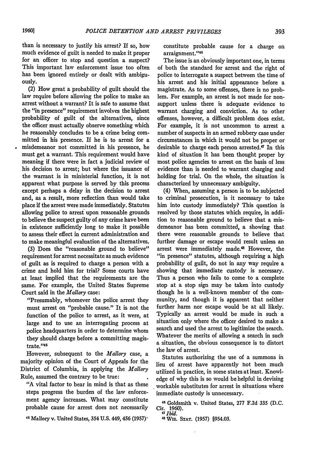than is necessary to justify his arrest? If so, how much evidence of guilt is needed to make it proper for an officer to stop and question a suspect? This important law enforcement issue too often has been ignored entirely or dealt with ambigu**ously.**

(2) How great a probability of guilt should the law require before allowing the police to make an arrest without a warrant? It is safe to assume that the "in presence" requirement involves the highest probability of guilt of the alternatives, since the officer must actually observe something which he reasonably concludes to be a crime being committed in his presence. If he is to arrest for a misdemeanor not committed in his presence, he must get a warrant. This requirement would have meaning if there were in fact a judicial review of his decision to arrest; but where the issuance of the warrant is in ministerial function, it is not apparent what purpose is served by this process except perhaps a delay in the decision to arrest and, as a result, more reflection than would take place if the arrest were made immediately. Statutes allowing police to arrest upon reasonable grounds to believe the suspect guilty of any crime have been in existence sufficiently long to make it possible to assess their effect in current administration and to make meaningful evaluation of the alternatives.

(3) Does the "reasonable ground to believe" requirement for arrest necessitate as much evidence of guilt as is required to charge a person with a crime and hold him for trial? Some courts have at least implied that the requirements are the same. For example, the United States Supreme Court said in the *Mallory* case:

"Presumably, whomever the police arrest they must arrest on "probable cause." It is not the function of the police to arrest, as it were, at large and to use an interrogating process at police headquarters in order to determine whom they should charge before a committing magistrate."<sup>45</sup>

However, subsequent to the *Mallory* case, a majority opinion of the Court of Appeals for the District of Columbia, in applying the *Mallory* Rule, assumed the contrary to be true:

**"A** vital factor to bear in mind is that as these steps progress the burden of the law enforcement agency increases. What may constitute probable cause for arrest does not necessarily

**<sup>15</sup>**Mallory v. United States, 354 **U.S.** 449,456 **(1957)"**

constitute probable cause for a charge on arraignment."<sup>46</sup>

The issue is an obviously important one, in terms of both the standard for arrest and the right of police to interrogate a suspect between the time of his arrest and his initial appearance before a magistrate. As to some offenses, there is no problem. For example, an arrest is not made for nonsupport unless there is adequate evidence to warrant charging and conviction. As to other offenses, however, a difficult problem does exist. For example, it is not uncommon to arrest a number of suspects in an armed robbery case under circumstances in which it would not be proper or desirable to charge each person arrested.<sup> $\sigma$ </sup> In this kind of situation it has been thought proper **by** most police agencies to arrest on the basis of less evidence than is needed to warrant charging and holding for trial. On the whole, the situation is characterized **by** unnecessary ambiguity.

(4) When, assuming a person is to be subjected to criminal prosecution, is it necessary to take him into custody immediately? This question is resolved **by** those statutes which require, in addition to reasonable ground to believe that a misdemeanor has been committed, a showing that there were reasonable grounds to believe that further damage or escape would result unless an arrest were immediately made.<sup>48</sup> However, the "in presence" statutes, although requiring a high probability of guilt, do not in any way require a showing that immediate custody is necessary. Thus a person who fails to come to a complete stop at a stop sign may be taken into custody though he is a well-known member of the community, and though it is apparent that neither further harm nor escape would be at all likely. Typically an arrest would be made in such a situation only where the officer desired to make a search and used the arrest to legitimize the search. Whatever the merits of allowing a search in such a situation, the obvious consequence is to distort the law of arrest.

Statutes authorizing the use of a summons in lieu of arrest have apparently hot been much utilized in practice, in some states at least. Knowledge of why this is so would be helpful in devising workable substitutes for arrest in situations where immediate custody is unnecessary.

**<sup>46</sup>**Goldsmith v. United States, 277 F.2d 335 (D.C. Cir. **1960). <sup>47</sup>***Ibid.*

48Wis. **STAT.** (1957) §954.03.